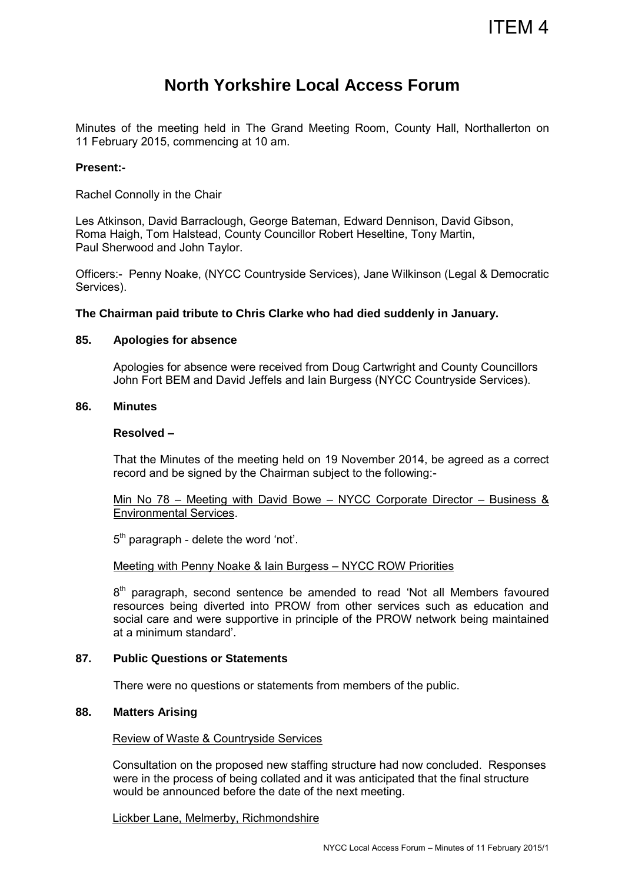# ITEM 4

## **North Yorkshire Local Access Forum**

Minutes of the meeting held in The Grand Meeting Room, County Hall, Northallerton on 11 February 2015, commencing at 10 am.

#### **Present:-**

Rachel Connolly in the Chair

Les Atkinson, David Barraclough, George Bateman, Edward Dennison, David Gibson, Roma Haigh, Tom Halstead, County Councillor Robert Heseltine, Tony Martin, Paul Sherwood and John Taylor.

Officers:- Penny Noake, (NYCC Countryside Services), Jane Wilkinson (Legal & Democratic Services).

**The Chairman paid tribute to Chris Clarke who had died suddenly in January.** 

#### **85. Apologies for absence**

Apologies for absence were received from Doug Cartwright and County Councillors John Fort BEM and David Jeffels and Iain Burgess (NYCC Countryside Services).

#### **86. Minutes**

#### **Resolved –**

That the Minutes of the meeting held on 19 November 2014, be agreed as a correct record and be signed by the Chairman subject to the following:-

Min No 78 – Meeting with David Bowe – NYCC Corporate Director – Business & Environmental Services.

5<sup>th</sup> paragraph - delete the word 'not'.

#### Meeting with Penny Noake & Iain Burgess – NYCC ROW Priorities

8<sup>th</sup> paragraph, second sentence be amended to read 'Not all Members favoured resources being diverted into PROW from other services such as education and social care and were supportive in principle of the PROW network being maintained at a minimum standard'.

#### **87. Public Questions or Statements**

There were no questions or statements from members of the public.

#### **88. Matters Arising**

#### Review of Waste & Countryside Services

Consultation on the proposed new staffing structure had now concluded. Responses were in the process of being collated and it was anticipated that the final structure would be announced before the date of the next meeting.

#### Lickber Lane, Melmerby, Richmondshire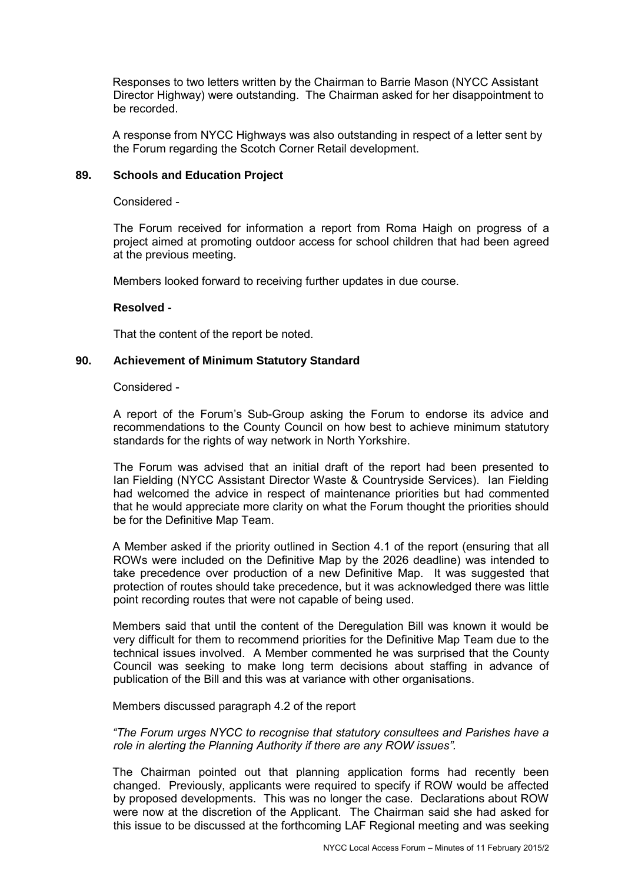Responses to two letters written by the Chairman to Barrie Mason (NYCC Assistant Director Highway) were outstanding. The Chairman asked for her disappointment to be recorded.

A response from NYCC Highways was also outstanding in respect of a letter sent by the Forum regarding the Scotch Corner Retail development.

#### **89. Schools and Education Project**

Considered -

 The Forum received for information a report from Roma Haigh on progress of a project aimed at promoting outdoor access for school children that had been agreed at the previous meeting.

Members looked forward to receiving further updates in due course.

#### **Resolved -**

That the content of the report be noted.

#### **90. Achievement of Minimum Statutory Standard**

Considered -

 A report of the Forum's Sub-Group asking the Forum to endorse its advice and recommendations to the County Council on how best to achieve minimum statutory standards for the rights of way network in North Yorkshire.

 The Forum was advised that an initial draft of the report had been presented to Ian Fielding (NYCC Assistant Director Waste & Countryside Services). Ian Fielding had welcomed the advice in respect of maintenance priorities but had commented that he would appreciate more clarity on what the Forum thought the priorities should be for the Definitive Map Team.

A Member asked if the priority outlined in Section 4.1 of the report (ensuring that all ROWs were included on the Definitive Map by the 2026 deadline) was intended to take precedence over production of a new Definitive Map. It was suggested that protection of routes should take precedence, but it was acknowledged there was little point recording routes that were not capable of being used.

Members said that until the content of the Deregulation Bill was known it would be very difficult for them to recommend priorities for the Definitive Map Team due to the technical issues involved. A Member commented he was surprised that the County Council was seeking to make long term decisions about staffing in advance of publication of the Bill and this was at variance with other organisations.

#### Members discussed paragraph 4.2 of the report

*"The Forum urges NYCC to recognise that statutory consultees and Parishes have a role in alerting the Planning Authority if there are any ROW issues".*

The Chairman pointed out that planning application forms had recently been changed. Previously, applicants were required to specify if ROW would be affected by proposed developments. This was no longer the case. Declarations about ROW were now at the discretion of the Applicant. The Chairman said she had asked for this issue to be discussed at the forthcoming LAF Regional meeting and was seeking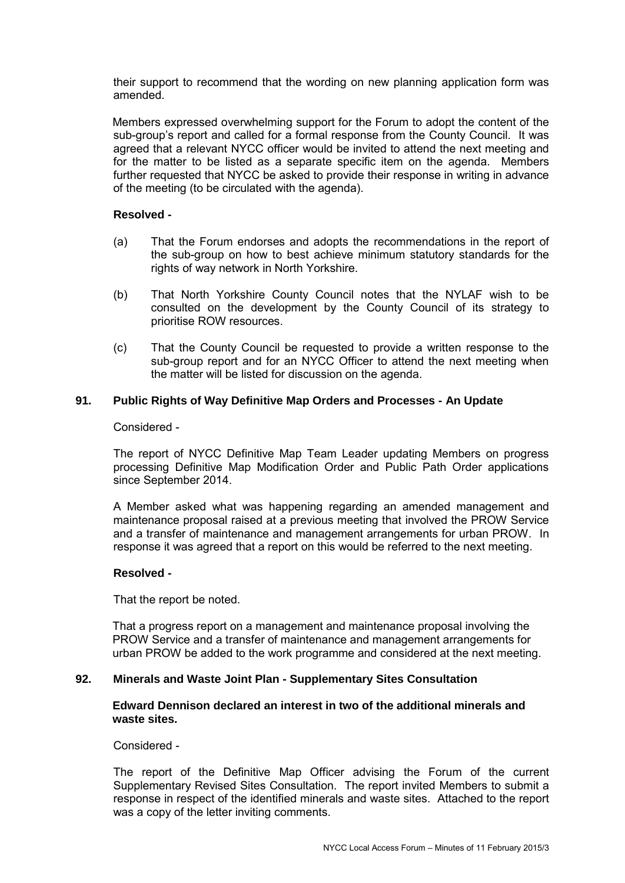their support to recommend that the wording on new planning application form was amended.

Members expressed overwhelming support for the Forum to adopt the content of the sub-group's report and called for a formal response from the County Council. It was agreed that a relevant NYCC officer would be invited to attend the next meeting and for the matter to be listed as a separate specific item on the agenda. Members further requested that NYCC be asked to provide their response in writing in advance of the meeting (to be circulated with the agenda).

#### **Resolved -**

- (a) That the Forum endorses and adopts the recommendations in the report of the sub-group on how to best achieve minimum statutory standards for the rights of way network in North Yorkshire.
- (b) That North Yorkshire County Council notes that the NYLAF wish to be consulted on the development by the County Council of its strategy to prioritise ROW resources.
- (c) That the County Council be requested to provide a written response to the sub-group report and for an NYCC Officer to attend the next meeting when the matter will be listed for discussion on the agenda.

#### **91. Public Rights of Way Definitive Map Orders and Processes - An Update**

#### Considered -

 The report of NYCC Definitive Map Team Leader updating Members on progress processing Definitive Map Modification Order and Public Path Order applications since September 2014.

 A Member asked what was happening regarding an amended management and maintenance proposal raised at a previous meeting that involved the PROW Service and a transfer of maintenance and management arrangements for urban PROW. In response it was agreed that a report on this would be referred to the next meeting.

#### **Resolved -**

That the report be noted.

That a progress report on a management and maintenance proposal involving the PROW Service and a transfer of maintenance and management arrangements for urban PROW be added to the work programme and considered at the next meeting.

#### **92. Minerals and Waste Joint Plan - Supplementary Sites Consultation**

#### **Edward Dennison declared an interest in two of the additional minerals and waste sites.**

Considered -

 The report of the Definitive Map Officer advising the Forum of the current Supplementary Revised Sites Consultation. The report invited Members to submit a response in respect of the identified minerals and waste sites. Attached to the report was a copy of the letter inviting comments.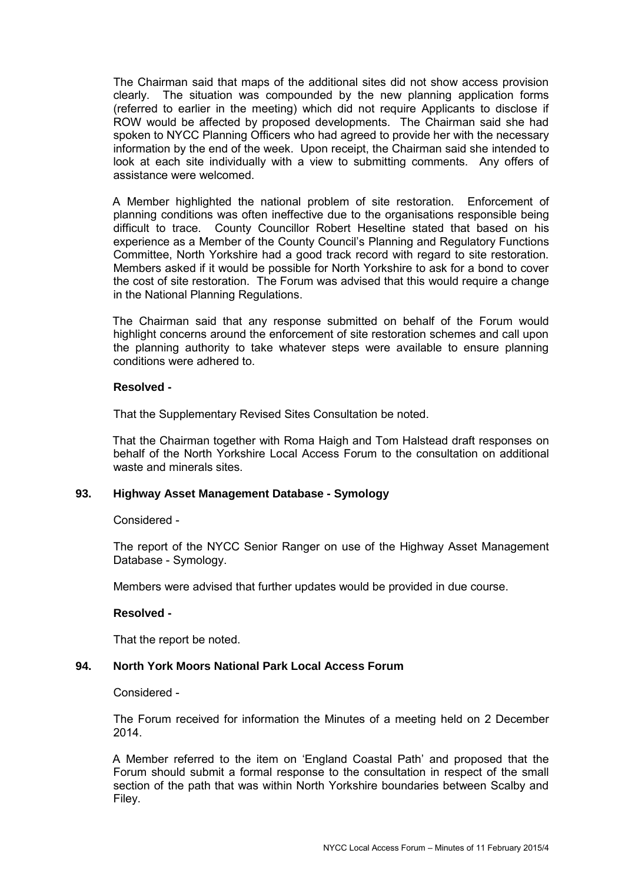The Chairman said that maps of the additional sites did not show access provision clearly. The situation was compounded by the new planning application forms (referred to earlier in the meeting) which did not require Applicants to disclose if ROW would be affected by proposed developments. The Chairman said she had spoken to NYCC Planning Officers who had agreed to provide her with the necessary information by the end of the week. Upon receipt, the Chairman said she intended to look at each site individually with a view to submitting comments. Any offers of assistance were welcomed.

A Member highlighted the national problem of site restoration. Enforcement of planning conditions was often ineffective due to the organisations responsible being difficult to trace. County Councillor Robert Heseltine stated that based on his experience as a Member of the County Council's Planning and Regulatory Functions Committee, North Yorkshire had a good track record with regard to site restoration. Members asked if it would be possible for North Yorkshire to ask for a bond to cover the cost of site restoration. The Forum was advised that this would require a change in the National Planning Regulations.

The Chairman said that any response submitted on behalf of the Forum would highlight concerns around the enforcement of site restoration schemes and call upon the planning authority to take whatever steps were available to ensure planning conditions were adhered to.

#### **Resolved -**

That the Supplementary Revised Sites Consultation be noted.

That the Chairman together with Roma Haigh and Tom Halstead draft responses on behalf of the North Yorkshire Local Access Forum to the consultation on additional waste and minerals sites.

#### **93. Highway Asset Management Database - Symology**

Considered -

 The report of the NYCC Senior Ranger on use of the Highway Asset Management Database - Symology.

Members were advised that further updates would be provided in due course.

#### **Resolved -**

That the report be noted.

#### **94. North York Moors National Park Local Access Forum**

Considered -

 The Forum received for information the Minutes of a meeting held on 2 December 2014.

A Member referred to the item on 'England Coastal Path' and proposed that the Forum should submit a formal response to the consultation in respect of the small section of the path that was within North Yorkshire boundaries between Scalby and Filey.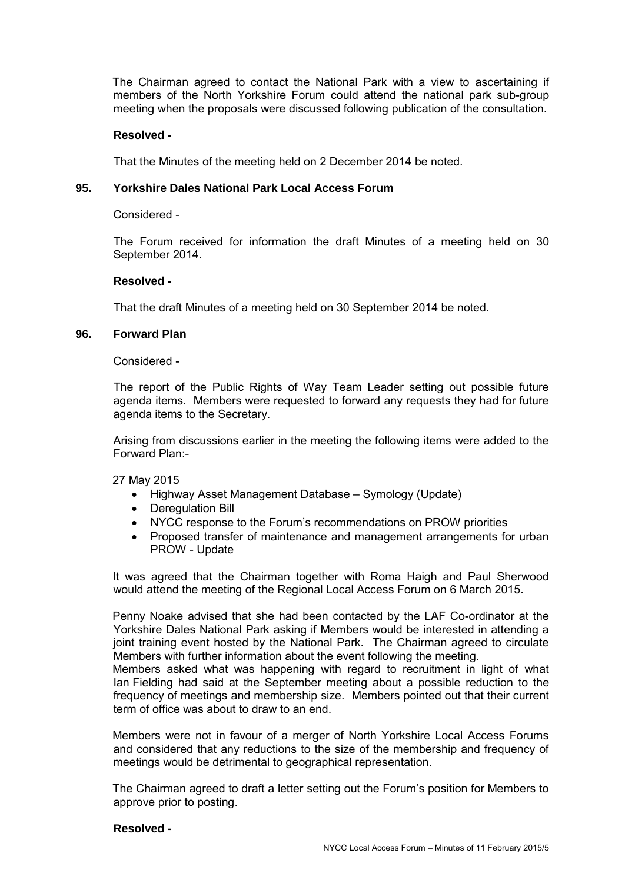The Chairman agreed to contact the National Park with a view to ascertaining if members of the North Yorkshire Forum could attend the national park sub-group meeting when the proposals were discussed following publication of the consultation.

#### **Resolved -**

That the Minutes of the meeting held on 2 December 2014 be noted.

#### **95. Yorkshire Dales National Park Local Access Forum**

Considered -

 The Forum received for information the draft Minutes of a meeting held on 30 September 2014.

#### **Resolved -**

That the draft Minutes of a meeting held on 30 September 2014 be noted.

#### **96. Forward Plan**

Considered -

 The report of the Public Rights of Way Team Leader setting out possible future agenda items. Members were requested to forward any requests they had for future agenda items to the Secretary.

 Arising from discussions earlier in the meeting the following items were added to the Forward Plan:-

#### 27 May 2015

- Highway Asset Management Database Symology (Update)
- Deregulation Bill
- NYCC response to the Forum's recommendations on PROW priorities
- Proposed transfer of maintenance and management arrangements for urban PROW - Update

It was agreed that the Chairman together with Roma Haigh and Paul Sherwood would attend the meeting of the Regional Local Access Forum on 6 March 2015.

Penny Noake advised that she had been contacted by the LAF Co-ordinator at the Yorkshire Dales National Park asking if Members would be interested in attending a joint training event hosted by the National Park. The Chairman agreed to circulate Members with further information about the event following the meeting.

Members asked what was happening with regard to recruitment in light of what Ian Fielding had said at the September meeting about a possible reduction to the frequency of meetings and membership size. Members pointed out that their current term of office was about to draw to an end.

Members were not in favour of a merger of North Yorkshire Local Access Forums and considered that any reductions to the size of the membership and frequency of meetings would be detrimental to geographical representation.

The Chairman agreed to draft a letter setting out the Forum's position for Members to approve prior to posting.

#### **Resolved -**